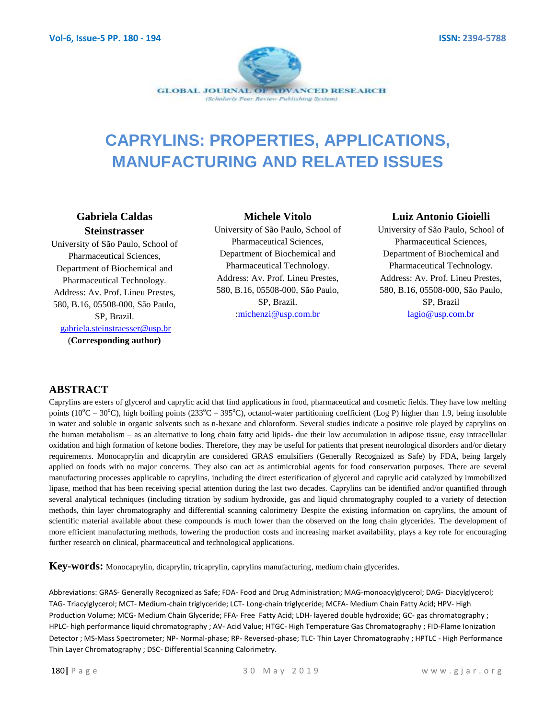

# **CAPRYLINS: PROPERTIES, APPLICATIONS, MANUFACTURING AND RELATED ISSUES**

## **Gabriela Caldas Steinstrasser**

University of São Paulo, School of Pharmaceutical Sciences, Department of Biochemical and Pharmaceutical Technology. Address: Av. Prof. Lineu Prestes, 580, B.16, 05508-000, São Paulo, SP, Brazil. [gabriela.steinstraesser@usp.br](mailto:gabriela.steinstraesser@usp.br)

(**Corresponding author)**

### **Michele Vitolo**

University of São Paulo, School of Pharmaceutical Sciences, Department of Biochemical and Pharmaceutical Technology. Address: Av. Prof. Lineu Prestes, 580, B.16, 05508-000, São Paulo, SP, Brazil. [:michenzi@usp.com.br](mailto:michenzi@usp.com.br)

### **Luiz Antonio Gioielli**

University of São Paulo, School of Pharmaceutical Sciences, Department of Biochemical and Pharmaceutical Technology. Address: Av. Prof. Lineu Prestes, 580, B.16, 05508-000, São Paulo, SP, Brazil [lagio@usp.com.br](mailto:lagio@usp.com.br)

### **ABSTRACT**

Caprylins are esters of glycerol and caprylic acid that find applications in food, pharmaceutical and cosmetic fields. They have low melting points ( $10^{\circ}$ C – 30 $^{\circ}$ C), high boiling points (233 $^{\circ}$ C – 395 $^{\circ}$ C), octanol-water partitioning coefficient (Log P) higher than 1.9, being insoluble in water and soluble in organic solvents such as n-hexane and chloroform. Several studies indicate a positive role played by caprylins on the human metabolism – as an alternative to long chain fatty acid lipids- due their low accumulation in adipose tissue, easy intracellular oxidation and high formation of ketone bodies. Therefore, they may be useful for patients that present neurological disorders and/or dietary requirements. Monocaprylin and dicaprylin are considered GRAS emulsifiers (Generally Recognized as Safe) by FDA, being largely applied on foods with no major concerns. They also can act as antimicrobial agents for food conservation purposes. There are several manufacturing processes applicable to caprylins, including the direct esterification of glycerol and caprylic acid catalyzed by immobilized lipase, method that has been receiving special attention during the last two decades. Caprylins can be identified and/or quantified through several analytical techniques (including titration by sodium hydroxide, gas and liquid chromatography coupled to a variety of detection methods, thin layer chromatography and differential scanning calorimetry Despite the existing information on caprylins, the amount of scientific material available about these compounds is much lower than the observed on the long chain glycerides. The development of more efficient manufacturing methods, lowering the production costs and increasing market availability, plays a key role for encouraging further research on clinical, pharmaceutical and technological applications.

**Key-words:** Monocaprylin, dicaprylin, tricaprylin, caprylins manufacturing, medium chain glycerides.

Abbreviations: GRAS- Generally Recognized as Safe; FDA- Food and Drug Administration; MAG-monoacylglycerol; DAG- Diacylglycerol; TAG- Triacylglycerol; MCT- Medium-chain triglyceride; LCT- Long-chain triglyceride; MCFA- Medium Chain Fatty Acid; HPV- High Production Volume; MCG- Medium Chain Glyceride; FFA- Free Fatty Acid; LDH- layered double hydroxide; GC- gas chromatography ; HPLC- high performance liquid chromatography ; AV- Acid Value; HTGC- High Temperature Gas Chromatography ; FID-Flame Ionization Detector ; MS-Mass Spectrometer; NP- Normal-phase; RP- Reversed-phase; TLC- Thin Layer Chromatography ; HPTLC - High Performance Thin Layer Chromatography ; DSC- Differential Scanning Calorimetry.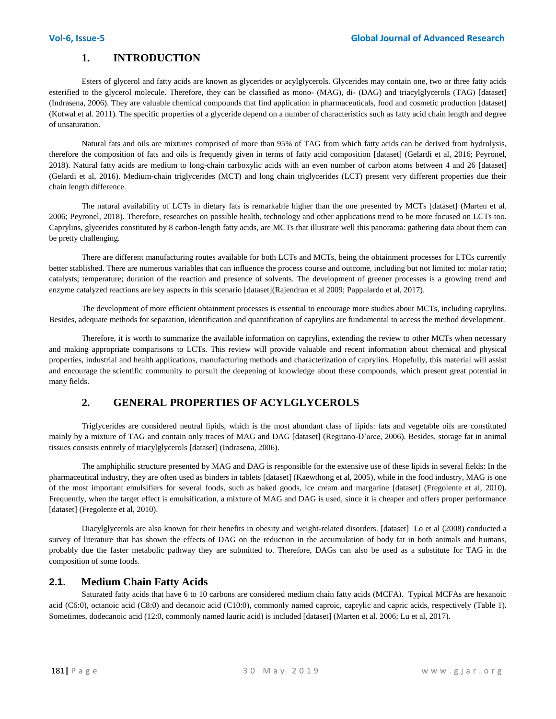### **1. INTRODUCTION**

Esters of glycerol and fatty acids are known as glycerides or acylglycerols. Glycerides may contain one, two or three fatty acids esterified to the glycerol molecule. Therefore, they can be classified as mono- (MAG), di- (DAG) and triacylglycerols (TAG) [dataset] (Indrasena, 2006). They are valuable chemical compounds that find application in pharmaceuticals, food and cosmetic production [dataset] (Kotwal et al. 2011). The specific properties of a glyceride depend on a number of characteristics such as fatty acid chain length and degree of unsaturation.

Natural fats and oils are mixtures comprised of more than 95% of TAG from which fatty acids can be derived from hydrolysis, therefore the composition of fats and oils is frequently given in terms of fatty acid composition [dataset] (Gelardi et al, 2016; Peyronel, 2018). Natural fatty acids are medium to long-chain carboxylic acids with an even number of carbon atoms between 4 and 26 [dataset] (Gelardi et al, 2016). Medium-chain triglycerides (MCT) and long chain triglycerides (LCT) present very different properties due their chain length difference.

The natural availability of LCTs in dietary fats is remarkable higher than the one presented by MCTs [dataset] (Marten et al. 2006; Peyronel, 2018). Therefore, researches on possible health, technology and other applications trend to be more focused on LCTs too. Caprylins, glycerides constituted by 8 carbon-length fatty acids, are MCTs that illustrate well this panorama: gathering data about them can be pretty challenging.

There are different manufacturing routes available for both LCTs and MCTs, being the obtainment processes for LTCs currently better stablished. There are numerous variables that can influence the process course and outcome, including but not limited to: molar ratio; catalysts; temperature; duration of the reaction and presence of solvents. The development of greener processes is a growing trend and enzyme catalyzed reactions are key aspects in this scenario [dataset](Rajendran et al 2009; Pappalardo et al, 2017).

The development of more efficient obtainment processes is essential to encourage more studies about MCTs, including caprylins. Besides, adequate methods for separation, identification and quantification of caprylins are fundamental to access the method development.

Therefore, it is worth to summarize the available information on caprylins, extending the review to other MCTs when necessary and making appropriate comparisons to LCTs. This review will provide valuable and recent information about chemical and physical properties, industrial and health applications, manufacturing methods and characterization of caprylins. Hopefully, this material will assist and encourage the scientific community to pursuit the deepening of knowledge about these compounds, which present great potential in many fields.

### **2. GENERAL PROPERTIES OF ACYLGLYCEROLS**

Triglycerides are considered neutral lipids, which is the most abundant class of lipids: fats and vegetable oils are constituted mainly by a mixture of TAG and contain only traces of MAG and DAG [dataset] (Regitano-D'arce, 2006). Besides, storage fat in animal tissues consists entirely of triacylglycerols [dataset] (Indrasena, 2006).

The amphiphilic structure presented by MAG and DAG is responsible for the extensive use of these lipids in several fields: In the pharmaceutical industry, they are often used as binders in tablets [dataset] (Kaewthong et al, 2005), while in the food industry, MAG is one of the most important emulsifiers for several foods, such as baked goods, ice cream and margarine [dataset] (Fregolente et al, 2010). Frequently, when the target effect is emulsification, a mixture of MAG and DAG is used, since it is cheaper and offers proper performance [dataset] (Fregolente et al, 2010).

Diacylglycerols are also known for their benefits in obesity and weight-related disorders. [dataset] Lo et al (2008) conducted a survey of literature that has shown the effects of DAG on the reduction in the accumulation of body fat in both animals and humans, probably due the faster metabolic pathway they are submitted to. Therefore, DAGs can also be used as a substitute for TAG in the composition of some foods.

### **2.1. Medium Chain Fatty Acids**

Saturated fatty acids that have 6 to 10 carbons are considered medium chain fatty acids (MCFA). Typical MCFAs are hexanoic acid (C6:0), octanoic acid (C8:0) and decanoic acid (C10:0), commonly named caproic, caprylic and capric acids, respectively (Table 1). Sometimes, dodecanoic acid (12:0, commonly named lauric acid) is included [dataset] (Marten et al. 2006; Lu et al, 2017).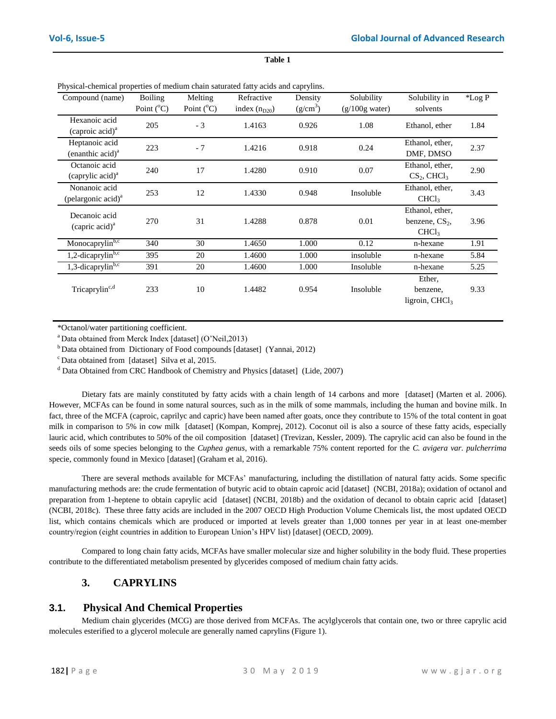| Compound (name)                                   | Boiling             | Melting             | Refractive        | Density       | Solubility       | Solubility in                                            | *Log P |
|---------------------------------------------------|---------------------|---------------------|-------------------|---------------|------------------|----------------------------------------------------------|--------|
|                                                   | Point $(^{\circ}C)$ | Point $(^{\circ}C)$ | index $(n_{D20})$ | $(g/cm^3)$    | $(g/100g$ water) | solvents                                                 |        |
| Hexanoic acid<br>(caproic acid) <sup>a</sup>      | 205                 | $-3$                | 1.4163            | 0.926<br>1.08 |                  | Ethanol, ether                                           | 1.84   |
| Heptanoic acid<br>(enanthic $acid$ ) <sup>a</sup> | 223                 | $-7$                | 1.4216            | 0.918         | 0.24             | Ethanol, ether,<br>DMF, DMSO                             | 2.37   |
| Octanoic acid<br>(caprylic acid) <sup>a</sup>     | 240                 | 17                  | 1.4280            | 0.910         | 0.07             | Ethanol, ether,<br>$CS_2$ , CHCl <sub>3</sub>            | 2.90   |
| Nonanoic acid<br>(pelargonic acid) <sup>a</sup>   | 253                 | 12                  | 1.4330            | 0.948         | Insoluble        | Ethanol, ether,<br>CHCl <sub>3</sub>                     | 3.43   |
| Decanoic acid<br>(capric acid) <sup>a</sup>       | 270                 | 31                  | 1.4288            | 0.878         | 0.01             | Ethanol, ether,<br>benzene, $CS2$ ,<br>CHCl <sub>3</sub> | 3.96   |
| Monocaprylin <sup>b,c</sup>                       | 340                 | 30                  | 1.4650            | 1.000         | 0.12             | n-hexane                                                 | 1.91   |
| 1,2-dicaprylin $\overline{b,c}$                   | 395                 | 20                  | 1.4600            | 1.000         | insoluble        | n-hexane                                                 | 5.84   |
| 1,3-dicaprylinb,c                                 | 391                 | 20                  | 1.4600            | 1.000         | Insoluble        | n-hexane                                                 | 5.25   |
| Tricaprylin <sup>c,d</sup>                        | 233                 | 10                  | 1.4482            | 0.954         | Insoluble        | Ether,<br>benzene,<br>ligroin, $CHCl3$                   | 9.33   |

**Table 1**

| Physical-chemical properties of medium chain saturated fatty acids and caprylins. |  |  |  |
|-----------------------------------------------------------------------------------|--|--|--|
|                                                                                   |  |  |  |

\*Octanol/water partitioning coefficient.

 $a$  Data obtained from Merck Index [dataset] (O'Neil,2013)

<sup>b</sup> Data obtained from Dictionary of Food compounds [dataset] (Yannai, 2012)

 $c$  Data obtained from [dataset] Silva et al, 2015.

<sup>d</sup> Data Obtained from CRC Handbook of Chemistry and Physics [dataset] (Lide, 2007)

Dietary fats are mainly constituted by fatty acids with a chain length of 14 carbons and more [dataset] (Marten et al. 2006). However, MCFAs can be found in some natural sources, such as in the milk of some mammals, including the human and bovine milk. In fact, three of the MCFA (caproic, caprilyc and capric) have been named after goats, once they contribute to 15% of the total content in goat milk in comparison to 5% in cow milk [dataset] (Kompan, Komprej, 2012). Coconut oil is also a source of these fatty acids, especially lauric acid, which contributes to 50% of the oil composition [dataset] (Trevizan, Kessler, 2009). The caprylic acid can also be found in the seeds oils of some species belonging to the *Cuphea genus*, with a remarkable 75% content reported for the *C. avigera var. pulcherrima* specie, commonly found in Mexico [dataset] (Graham et al, 2016).

There are several methods available for MCFAs' manufacturing, including the distillation of natural fatty acids. Some specific manufacturing methods are: the crude fermentation of butyric acid to obtain caproic acid [dataset] (NCBI, 2018a); oxidation of octanol and preparation from 1-heptene to obtain caprylic acid [dataset] (NCBI, 2018b) and the oxidation of decanol to obtain capric acid [dataset] (NCBI, 2018c). These three fatty acids are included in the 2007 OECD High Production Volume Chemicals list, the most updated OECD list, which contains chemicals which are produced or imported at levels greater than 1,000 tonnes per year in at least one-member country/region (eight countries in addition to European Union's HPV list) [dataset] (OECD, 2009).

Compared to long chain fatty acids, MCFAs have smaller molecular size and higher solubility in the body fluid. These properties contribute to the differentiated metabolism presented by glycerides composed of medium chain fatty acids.

### **3. CAPRYLINS**

#### **3.1. Physical And Chemical Properties**

Medium chain glycerides (MCG) are those derived from MCFAs. The acylglycerols that contain one, two or three caprylic acid molecules esterified to a glycerol molecule are generally named caprylins (Figure 1).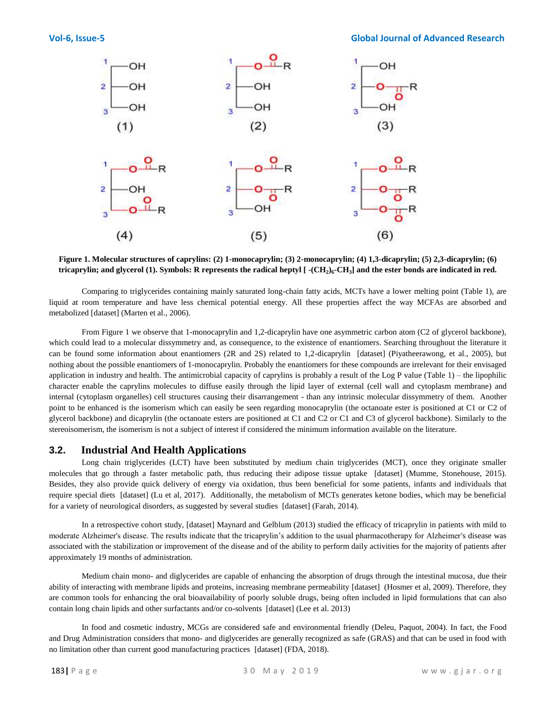#### **Vol-6, Issue-5 Global Journal of Advanced Research**



#### **Figure 1. Molecular structures of caprylins: (2) 1-monocaprylin; (3) 2-monocaprylin; (4) 1,3-dicaprylin; (5) 2,3-dicaprylin; (6) tricaprylin; and glycerol (1). Symbols: R represents the radical heptyl [ -(CH<sup>2</sup> )6 -CH<sup>3</sup> ] and the ester bonds are indicated in red.**

Comparing to triglycerides containing mainly saturated long-chain fatty acids, MCTs have a lower melting point (Table 1), are liquid at room temperature and have less chemical potential energy. All these properties affect the way MCFAs are absorbed and metabolized [dataset] (Marten et al., 2006).

From Figure 1 we observe that 1-monocaprylin and 1,2-dicaprylin have one asymmetric carbon atom (C2 of glycerol backbone), which could lead to a molecular dissymmetry and, as consequence, to the existence of enantiomers. Searching throughout the literature it can be found some information about enantiomers (2R and 2S) related to 1,2-dicaprylin [dataset] (Piyatheerawong, et al., 2005), but nothing about the possible enantiomers of 1-monocaprylin. Probably the enantiomers for these compounds are irrelevant for their envisaged application in industry and health. The antimicrobial capacity of caprylins is probably a result of the Log P value (Table 1) – the lipophilic character enable the caprylins molecules to diffuse easily through the lipid layer of external (cell wall and cytoplasm membrane) and internal (cytoplasm organelles) cell structures causing their disarrangement - than any intrinsic molecular dissymmetry of them. Another point to be enhanced is the isomerism which can easily be seen regarding monocaprylin (the octanoate ester is positioned at C1 or C2 of glycerol backbone) and dicaprylin (the octanoate esters are positioned at C1 and C2 or C1 and C3 of glycerol backbone). Similarly to the stereoisomerism, the isomerism is not a subject of interest if considered the minimum information available on the literature.

### **3.2. Industrial And Health Applications**

Long chain triglycerides (LCT) have been substituted by medium chain triglycerides (MCT), once they originate smaller molecules that go through a faster metabolic path, thus reducing their adipose tissue uptake [dataset] (Mumme, Stonehouse, 2015). Besides, they also provide quick delivery of energy via oxidation, thus been beneficial for some patients, infants and individuals that require special diets [dataset] (Lu et al, 2017). Additionally, the metabolism of MCTs generates ketone bodies, which may be beneficial for a variety of neurological disorders, as suggested by several studies [dataset] (Farah, 2014).

In a retrospective cohort study, [dataset] Maynard and Gelblum (2013) studied the efficacy of tricaprylin in patients with mild to moderate Alzheimer's disease. The results indicate that the tricaprylin's addition to the usual pharmacotherapy for Alzheimer's disease was associated with the stabilization or improvement of the disease and of the ability to perform daily activities for the majority of patients after approximately 19 months of administration.

Medium chain mono- and diglycerides are capable of enhancing the absorption of drugs through the intestinal mucosa, due their ability of interacting with membrane lipids and proteins, increasing membrane permeability [dataset] (Hosmer et al, 2009). Therefore, they are common tools for enhancing the oral bioavailability of poorly soluble drugs, being often included in lipid formulations that can also contain long chain lipids and other surfactants and/or co-solvents [dataset] (Lee et al. 2013)

In food and cosmetic industry, MCGs are considered safe and environmental friendly (Deleu, Paquot, 2004). In fact, the Food and Drug Administration considers that mono- and diglycerides are generally recognized as safe (GRAS) and that can be used in food with no limitation other than current good manufacturing practices [dataset] (FDA, 2018).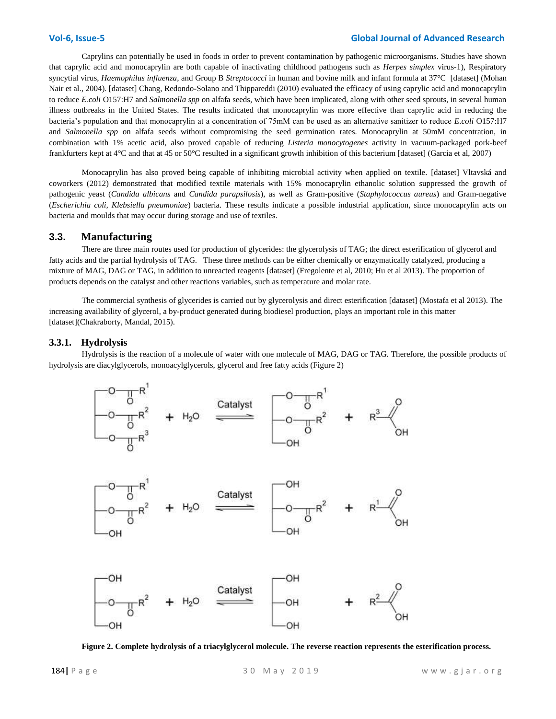#### **Vol-6, Issue-5 Global Journal of Advanced Research**

Caprylins can potentially be used in foods in order to prevent contamination by pathogenic microorganisms. Studies have shown that caprylic acid and monocaprylin are both capable of inactivating childhood pathogens such as *Herpes simplex* virus-1), Respiratory syncytial virus, *Haemophilus influenza*, and Group B *Streptococci* in human and bovine milk and infant formula at 37°C [dataset] (Mohan Nair et al., 2004). [dataset] Chang, Redondo-Solano and Thippareddi (2010) evaluated the efficacy of using caprylic acid and monocaprylin to reduce *E.coli* O157:H7 and *Salmonella spp* on alfafa seeds, which have been implicated, along with other seed sprouts, in several human illness outbreaks in the United States. The results indicated that monocaprylin was more effective than caprylic acid in reducing the bacteria's population and that monocaprylin at a concentration of 75mM can be used as an alternative sanitizer to reduce *E*.*coli* O157:H7 and *Salmonella spp* on alfafa seeds without compromising the seed germination rates. Monocaprylin at 50mM concentration, in combination with 1% acetic acid, also proved capable of reducing *Listeria monocytogenes* activity in vacuum-packaged pork-beef frankfurters kept at 4°C and that at 45 or 50°C resulted in a significant growth inhibition of this bacterium [dataset] (Garcia et al, 2007)

Monocaprylin has also proved being capable of inhibiting microbial activity when applied on textile. [dataset] Vltavská and coworkers (2012) demonstrated that modified textile materials with 15% monocaprylin ethanolic solution suppressed the growth of pathogenic yeast (*Candida albicans* and *Candida parapsilosis*), as well as Gram-positive (*Staphylococcus aureus*) and Gram-negative (*Escherichia coli, Klebsiella pneumoniae*) bacteria. These results indicate a possible industrial application, since monocaprylin acts on bacteria and moulds that may occur during storage and use of textiles.

#### **3.3. Manufacturing**

There are three main routes used for production of glycerides: the glycerolysis of TAG; the direct esterification of glycerol and fatty acids and the partial hydrolysis of TAG. These three methods can be either chemically or enzymatically catalyzed, producing a mixture of MAG, DAG or TAG, in addition to unreacted reagents [dataset] (Fregolente et al, 2010; Hu et al 2013). The proportion of products depends on the catalyst and other reactions variables, such as temperature and molar rate.

The commercial synthesis of glycerides is carried out by glycerolysis and direct esterification [dataset] (Mostafa et al 2013). The increasing availability of glycerol, a by-product generated during biodiesel production, plays an important role in this matter [dataset](Chakraborty, Mandal, 2015).

#### **3.3.1. Hydrolysis**

Hydrolysis is the reaction of a molecule of water with one molecule of MAG, DAG or TAG. Therefore, the possible products of hydrolysis are diacylglycerols, monoacylglycerols, glycerol and free fatty acids (Figure 2)







**Figure 2. Complete hydrolysis of a triacylglycerol molecule. The reverse reaction represents the esterification process.**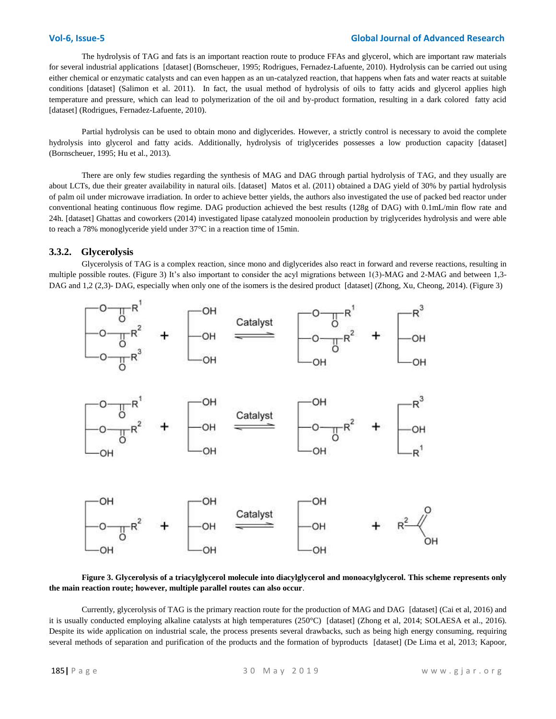#### **Vol-6, Issue-5 Global Journal of Advanced Research**

The hydrolysis of TAG and fats is an important reaction route to produce FFAs and glycerol, which are important raw materials for several industrial applications [dataset] (Bornscheuer, 1995; Rodrigues, Fernadez-Lafuente, 2010). Hydrolysis can be carried out using either chemical or enzymatic catalysts and can even happen as an un-catalyzed reaction, that happens when fats and water reacts at suitable conditions [dataset] (Salimon et al. 2011). In fact, the usual method of hydrolysis of oils to fatty acids and glycerol applies high temperature and pressure, which can lead to polymerization of the oil and by-product formation, resulting in a dark colored fatty acid [dataset] (Rodrigues, Fernadez-Lafuente, 2010).

Partial hydrolysis can be used to obtain mono and diglycerides. However, a strictly control is necessary to avoid the complete hydrolysis into glycerol and fatty acids. Additionally, hydrolysis of triglycerides possesses a low production capacity [dataset] (Bornscheuer, 1995; Hu et al., 2013).

There are only few studies regarding the synthesis of MAG and DAG through partial hydrolysis of TAG, and they usually are about LCTs, due their greater availability in natural oils. [dataset] Matos et al. (2011) obtained a DAG yield of 30% by partial hydrolysis of palm oil under microwave irradiation. In order to achieve better yields, the authors also investigated the use of packed bed reactor under conventional heating continuous flow regime. DAG production achieved the best results (128g of DAG) with 0.1mL/min flow rate and 24h. [dataset] Ghattas and coworkers (2014) investigated lipase catalyzed monoolein production by triglycerides hydrolysis and were able to reach a 78% monoglyceride yield under 37°C in a reaction time of 15min.

#### **3.3.2. Glycerolysis**

Glycerolysis of TAG is a complex reaction, since mono and diglycerides also react in forward and reverse reactions, resulting in multiple possible routes. (Figure 3) It's also important to consider the acyl migrations between 1(3)-MAG and 2-MAG and between 1,3- DAG and 1,2 (2,3)- DAG, especially when only one of the isomers is the desired product [dataset] (Zhong, Xu, Cheong, 2014). (Figure 3)



#### **Figure 3. Glycerolysis of a triacylglycerol molecule into diacylglycerol and monoacylglycerol. This scheme represents only the main reaction route; however, multiple parallel routes can also occur**.

Currently, glycerolysis of TAG is the primary reaction route for the production of MAG and DAG [dataset] (Cai et al, 2016) and it is usually conducted employing alkaline catalysts at high temperatures (250°C) [dataset] (Zhong et al, 2014; SOLAESA et al., 2016). Despite its wide application on industrial scale, the process presents several drawbacks, such as being high energy consuming, requiring several methods of separation and purification of the products and the formation of byproducts [dataset] (De Lima et al, 2013; Kapoor,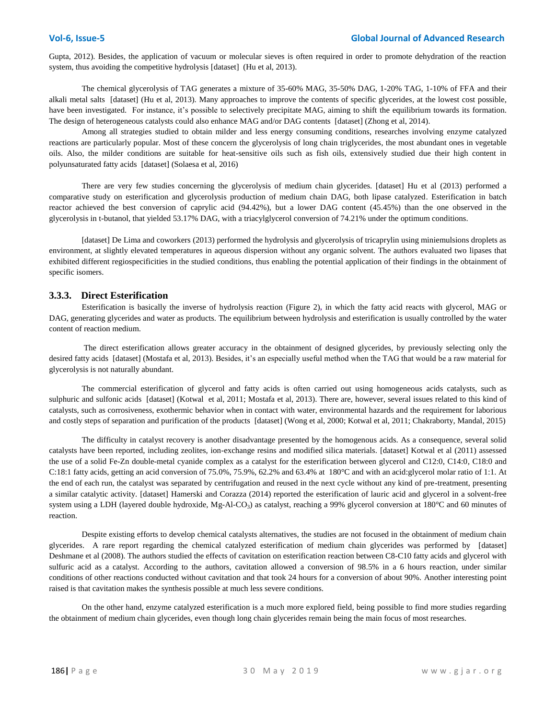Gupta, 2012). Besides, the application of vacuum or molecular sieves is often required in order to promote dehydration of the reaction system, thus avoiding the competitive hydrolysis [dataset] (Hu et al, 2013).

The chemical glycerolysis of TAG generates a mixture of 35-60% MAG, 35-50% DAG, 1-20% TAG, 1-10% of FFA and their alkali metal salts [dataset] (Hu et al, 2013). Many approaches to improve the contents of specific glycerides, at the lowest cost possible, have been investigated. For instance, it's possible to selectively precipitate MAG, aiming to shift the equilibrium towards its formation. The design of heterogeneous catalysts could also enhance MAG and/or DAG contents [dataset] (Zhong et al, 2014).

Among all strategies studied to obtain milder and less energy consuming conditions, researches involving enzyme catalyzed reactions are particularly popular. Most of these concern the glycerolysis of long chain triglycerides, the most abundant ones in vegetable oils. Also, the milder conditions are suitable for heat-sensitive oils such as fish oils, extensively studied due their high content in polyunsaturated fatty acids [dataset] (Solaesa et al, 2016)

There are very few studies concerning the glycerolysis of medium chain glycerides. [dataset] Hu et al (2013) performed a comparative study on esterification and glycerolysis production of medium chain DAG, both lipase catalyzed. Esterification in batch reactor achieved the best conversion of caprylic acid (94.42%), but a lower DAG content (45.45%) than the one observed in the glycerolysis in t-butanol, that yielded 53.17% DAG, with a triacylglycerol conversion of 74.21% under the optimum conditions.

[dataset] De Lima and coworkers (2013) performed the hydrolysis and glycerolysis of tricaprylin using miniemulsions droplets as environment, at slightly elevated temperatures in aqueous dispersion without any organic solvent. The authors evaluated two lipases that exhibited different regiospecificities in the studied conditions, thus enabling the potential application of their findings in the obtainment of specific isomers.

#### **3.3.3. Direct Esterification**

Esterification is basically the inverse of hydrolysis reaction (Figure 2)**,** in which the fatty acid reacts with glycerol, MAG or DAG, generating glycerides and water as products. The equilibrium between hydrolysis and esterification is usually controlled by the water content of reaction medium.

The direct esterification allows greater accuracy in the obtainment of designed glycerides, by previously selecting only the desired fatty acids [dataset] (Mostafa et al, 2013). Besides, it's an especially useful method when the TAG that would be a raw material for glycerolysis is not naturally abundant.

The commercial esterification of glycerol and fatty acids is often carried out using homogeneous acids catalysts, such as sulphuric and sulfonic acids [dataset] (Kotwal et al, 2011; Mostafa et al, 2013). There are, however, several issues related to this kind of catalysts, such as corrosiveness, exothermic behavior when in contact with water, environmental hazards and the requirement for laborious and costly steps of separation and purification of the products [dataset] (Wong et al, 2000; Kotwal et al, 2011; Chakraborty, Mandal, 2015)

The difficulty in catalyst recovery is another disadvantage presented by the homogenous acids. As a consequence, several solid catalysts have been reported, including zeolites, ion-exchange resins and modified silica materials. [dataset] Kotwal et al (2011) assessed the use of a solid Fe-Zn double-metal cyanide complex as a catalyst for the esterification between glycerol and C12:0, C14:0, C18:0 and C:18:1 fatty acids, getting an acid conversion of 75.0%, 75.9%, 62.2% and 63.4% at 180°C and with an acid:glycerol molar ratio of 1:1. At the end of each run, the catalyst was separated by centrifugation and reused in the next cycle without any kind of pre-treatment, presenting a similar catalytic activity. [dataset] Hamerski and Corazza (2014) reported the esterification of lauric acid and glycerol in a solvent-free system using a LDH (layered double hydroxide, Mg-Al-CO<sub>3</sub>) as catalyst, reaching a 99% glycerol conversion at 180°C and 60 minutes of reaction.

Despite existing efforts to develop chemical catalysts alternatives, the studies are not focused in the obtainment of medium chain glycerides. A rare report regarding the chemical catalyzed esterification of medium chain glycerides was performed by [dataset] Deshmane et al (2008). The authors studied the effects of cavitation on esterification reaction between C8-C10 fatty acids and glycerol with sulfuric acid as a catalyst. According to the authors, cavitation allowed a conversion of 98.5% in a 6 hours reaction, under similar conditions of other reactions conducted without cavitation and that took 24 hours for a conversion of about 90%. Another interesting point raised is that cavitation makes the synthesis possible at much less severe conditions.

On the other hand, enzyme catalyzed esterification is a much more explored field, being possible to find more studies regarding the obtainment of medium chain glycerides, even though long chain glycerides remain being the main focus of most researches.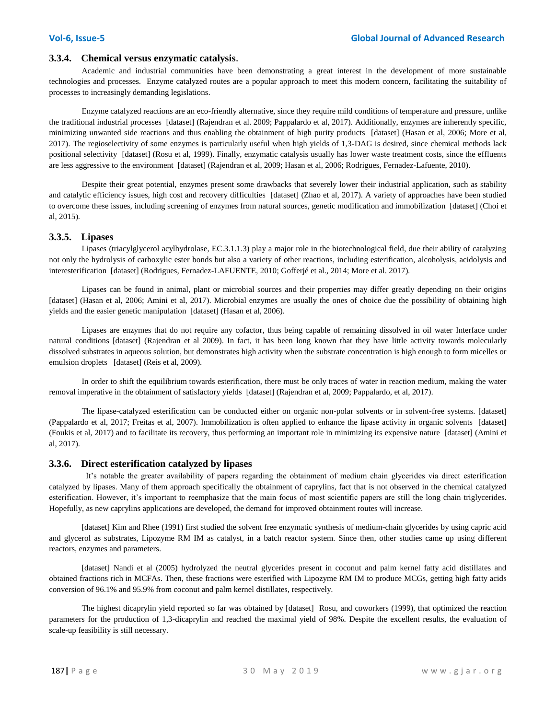#### **3.3.4. Chemical versus enzymatic catalysis**.

Academic and industrial communities have been demonstrating a great interest in the development of more sustainable technologies and processes. Enzyme catalyzed routes are a popular approach to meet this modern concern, facilitating the suitability of processes to increasingly demanding legislations.

Enzyme catalyzed reactions are an eco-friendly alternative, since they require mild conditions of temperature and pressure, unlike the traditional industrial processes [dataset] (Rajendran et al. 2009; Pappalardo et al, 2017). Additionally, enzymes are inherently specific, minimizing unwanted side reactions and thus enabling the obtainment of high purity products [dataset] (Hasan et al, 2006; More et al, 2017). The regioselectivity of some enzymes is particularly useful when high yields of 1,3-DAG is desired, since chemical methods lack positional selectivity [dataset] (Rosu et al, 1999). Finally, enzymatic catalysis usually has lower waste treatment costs, since the effluents are less aggressive to the environment [dataset] (Rajendran et al, 2009; Hasan et al, 2006; Rodrigues, Fernadez-Lafuente, 2010).

Despite their great potential, enzymes present some drawbacks that severely lower their industrial application, such as stability and catalytic efficiency issues, high cost and recovery difficulties [dataset] (Zhao et al, 2017). A variety of approaches have been studied to overcome these issues, including screening of enzymes from natural sources, genetic modification and immobilization [dataset] (Choi et al, 2015).

#### **3.3.5. Lipases**

Lipases (triacylglycerol acylhydrolase, EC.3.1.1.3) play a major role in the biotechnological field, due their ability of catalyzing not only the hydrolysis of carboxylic ester bonds but also a variety of other reactions, including esterification, alcoholysis, acidolysis and interesterification [dataset] (Rodrigues, Fernadez-LAFUENTE, 2010; Gofferjé et al., 2014; More et al. 2017).

Lipases can be found in animal, plant or microbial sources and their properties may differ greatly depending on their origins [dataset] (Hasan et al, 2006; Amini et al, 2017). Microbial enzymes are usually the ones of choice due the possibility of obtaining high yields and the easier genetic manipulation [dataset] (Hasan et al, 2006).

Lipases are enzymes that do not require any cofactor, thus being capable of remaining dissolved in oil water Interface under natural conditions [dataset] (Rajendran et al 2009). In fact, it has been long known that they have little activity towards molecularly dissolved substrates in aqueous solution, but demonstrates high activity when the substrate concentration is high enough to form micelles or emulsion droplets [dataset] (Reis et al, 2009).

In order to shift the equilibrium towards esterification, there must be only traces of water in reaction medium, making the water removal imperative in the obtainment of satisfactory yields [dataset] (Rajendran et al, 2009; Pappalardo, et al, 2017).

The lipase-catalyzed esterification can be conducted either on organic non-polar solvents or in solvent-free systems. [dataset] (Pappalardo et al, 2017; Freitas et al, 2007). Immobilization is often applied to enhance the lipase activity in organic solvents [dataset] (Foukis et al, 2017) and to facilitate its recovery, thus performing an important role in minimizing its expensive nature [dataset] (Amini et al, 2017).

#### **3.3.6. Direct esterification catalyzed by lipases**

 It's notable the greater availability of papers regarding the obtainment of medium chain glycerides via direct esterification catalyzed by lipases. Many of them approach specifically the obtainment of caprylins, fact that is not observed in the chemical catalyzed esterification. However, it's important to reemphasize that the main focus of most scientific papers are still the long chain triglycerides. Hopefully, as new caprylins applications are developed, the demand for improved obtainment routes will increase.

[dataset] Kim and Rhee (1991) first studied the solvent free enzymatic synthesis of medium-chain glycerides by using capric acid and glycerol as substrates, Lipozyme RM IM as catalyst, in a batch reactor system. Since then, other studies came up using different reactors, enzymes and parameters.

[dataset] Nandi et al (2005) hydrolyzed the neutral glycerides present in coconut and palm kernel fatty acid distillates and obtained fractions rich in MCFAs. Then, these fractions were esterified with Lipozyme RM IM to produce MCGs, getting high fatty acids conversion of 96.1% and 95.9% from coconut and palm kernel distillates, respectively.

The highest dicaprylin yield reported so far was obtained by [dataset] Rosu, and coworkers (1999), that optimized the reaction parameters for the production of 1,3-dicaprylin and reached the maximal yield of 98%. Despite the excellent results, the evaluation of scale-up feasibility is still necessary.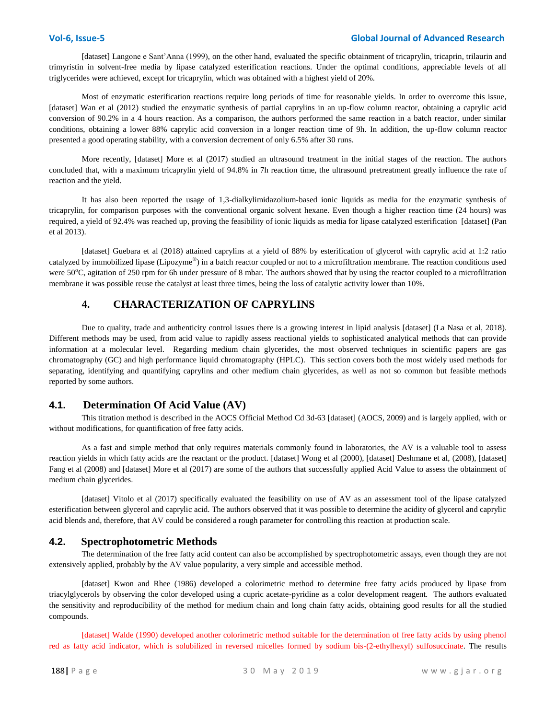[dataset] Langone e Sant'Anna (1999), on the other hand, evaluated the specific obtainment of tricaprylin, tricaprin, trilaurin and trimyristin in solvent-free media by lipase catalyzed esterification reactions. Under the optimal conditions, appreciable levels of all triglycerides were achieved, except for tricaprylin, which was obtained with a highest yield of 20%.

Most of enzymatic esterification reactions require long periods of time for reasonable yields. In order to overcome this issue, [dataset] Wan et al (2012) studied the enzymatic synthesis of partial caprylins in an up-flow column reactor, obtaining a caprylic acid conversion of 90.2% in a 4 hours reaction. As a comparison, the authors performed the same reaction in a batch reactor, under similar conditions, obtaining a lower 88% caprylic acid conversion in a longer reaction time of 9h. In addition, the up-flow column reactor presented a good operating stability, with a conversion decrement of only 6.5% after 30 runs.

More recently, [dataset] More et al (2017) studied an ultrasound treatment in the initial stages of the reaction. The authors concluded that, with a maximum tricaprylin yield of 94.8% in 7h reaction time, the ultrasound pretreatment greatly influence the rate of reaction and the yield.

It has also been reported the usage of 1,3-dialkylimidazolium-based ionic liquids as media for the enzymatic synthesis of tricaprylin, for comparison purposes with the conventional organic solvent hexane. Even though a higher reaction time (24 hours) was required, a yield of 92.4% was reached up, proving the feasibility of ionic liquids as media for lipase catalyzed esterification [dataset] (Pan et al 2013).

[dataset] Guebara et al (2018) attained caprylins at a yield of 88% by esterification of glycerol with caprylic acid at 1:2 ratio catalyzed by immobilized lipase (Lipozyme®) in a batch reactor coupled or not to a microfiltration membrane. The reaction conditions used were 50°C, agitation of 250 rpm for 6h under pressure of 8 mbar. The authors showed that by using the reactor coupled to a microfiltration membrane it was possible reuse the catalyst at least three times, being the loss of catalytic activity lower than 10%.

### **4. CHARACTERIZATION OF CAPRYLINS**

Due to quality, trade and authenticity control issues there is a growing interest in lipid analysis [dataset] (La Nasa et al, 2018). Different methods may be used, from acid value to rapidly assess reactional yields to sophisticated analytical methods that can provide information at a molecular level. Regarding medium chain glycerides, the most observed techniques in scientific papers are gas chromatography (GC) and high performance liquid chromatography (HPLC). This section covers both the most widely used methods for separating, identifying and quantifying caprylins and other medium chain glycerides, as well as not so common but feasible methods reported by some authors.

### **4.1. Determination Of Acid Value (AV)**

This titration method is described in the AOCS Official Method Cd 3d-63 [dataset] (AOCS, 2009) and is largely applied, with or without modifications, for quantification of free fatty acids.

As a fast and simple method that only requires materials commonly found in laboratories, the AV is a valuable tool to assess reaction yields in which fatty acids are the reactant or the product. [dataset] Wong et al (2000), [dataset] Deshmane et al, (2008), [dataset] Fang et al (2008) and [dataset] More et al (2017) are some of the authors that successfully applied Acid Value to assess the obtainment of medium chain glycerides.

[dataset] Vitolo et al (2017) specifically evaluated the feasibility on use of AV as an assessment tool of the lipase catalyzed esterification between glycerol and caprylic acid. The authors observed that it was possible to determine the acidity of glycerol and caprylic acid blends and, therefore, that AV could be considered a rough parameter for controlling this reaction at production scale.

### **4.2. Spectrophotometric Methods**

The determination of the free fatty acid content can also be accomplished by spectrophotometric assays, even though they are not extensively applied, probably by the AV value popularity, a very simple and accessible method.

[dataset] Kwon and Rhee (1986) developed a colorimetric method to determine free fatty acids produced by lipase from triacylglycerols by observing the color developed using a cupric acetate-pyridine as a color development reagent. The authors evaluated the sensitivity and reproducibility of the method for medium chain and long chain fatty acids, obtaining good results for all the studied compounds.

[dataset] Walde (1990) developed another colorimetric method suitable for the determination of free fatty acids by using phenol red as fatty acid indicator, which is solubilized in reversed micelles formed by sodium bis-(2-ethylhexyl) sulfosuccinate. The results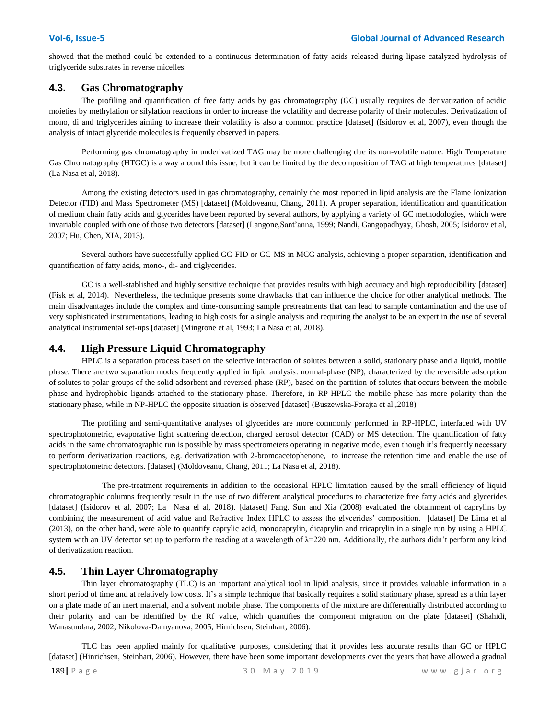showed that the method could be extended to a continuous determination of fatty acids released during lipase catalyzed hydrolysis of triglyceride substrates in reverse micelles.

### **4.3. Gas Chromatography**

The profiling and quantification of free fatty acids by gas chromatography (GC) usually requires de derivatization of acidic moieties by methylation or silylation reactions in order to increase the volatility and decrease polarity of their molecules. Derivatization of mono, di and triglycerides aiming to increase their volatility is also a common practice [dataset] (Isidorov et al, 2007), even though the analysis of intact glyceride molecules is frequently observed in papers.

Performing gas chromatography in underivatized TAG may be more challenging due its non-volatile nature. High Temperature Gas Chromatography (HTGC) is a way around this issue, but it can be limited by the decomposition of TAG at high temperatures [dataset] (La Nasa et al, 2018).

Among the existing detectors used in gas chromatography, certainly the most reported in lipid analysis are the Flame Ionization Detector (FID) and Mass Spectrometer (MS) [dataset] (Moldoveanu, Chang, 2011). A proper separation, identification and quantification of medium chain fatty acids and glycerides have been reported by several authors, by applying a variety of GC methodologies, which were invariable coupled with one of those two detectors [dataset] (Langone,Sant'anna, 1999; Nandi, Gangopadhyay, Ghosh, 2005; Isidorov et al, 2007; Hu, Chen, XIA, 2013).

Several authors have successfully applied GC-FID or GC-MS in MCG analysis, achieving a proper separation, identification and quantification of fatty acids, mono-, di- and triglycerides.

GC is a well-stablished and highly sensitive technique that provides results with high accuracy and high reproducibility [dataset] (Fisk et al, 2014). Nevertheless, the technique presents some drawbacks that can influence the choice for other analytical methods. The main disadvantages include the complex and time-consuming sample pretreatments that can lead to sample contamination and the use of very sophisticated instrumentations, leading to high costs for a single analysis and requiring the analyst to be an expert in the use of several analytical instrumental set-ups [dataset] (Mingrone et al, 1993; La Nasa et al, 2018).

### **4.4. High Pressure Liquid Chromatography**

HPLC is a separation process based on the selective interaction of solutes between a solid, stationary phase and a liquid, mobile phase. There are two separation modes frequently applied in lipid analysis: normal-phase (NP), characterized by the reversible adsorption of solutes to polar groups of the solid adsorbent and reversed-phase (RP), based on the partition of solutes that occurs between the mobile phase and hydrophobic ligands attached to the stationary phase. Therefore, in RP-HPLC the mobile phase has more polarity than the stationary phase, while in NP-HPLC the opposite situation is observed [dataset] (Buszewska-Forajta et al.,2018)

The profiling and semi-quantitative analyses of glycerides are more commonly performed in RP-HPLC, interfaced with UV spectrophotometric, evaporative light scattering detection, charged aerosol detector (CAD) or MS detection. The quantification of fatty acids in the same chromatographic run is possible by mass spectrometers operating in negative mode, even though it's frequently necessary to perform derivatization reactions, e.g. derivatization with 2-bromoacetophenone, to increase the retention time and enable the use of spectrophotometric detectors. [dataset] (Moldoveanu, Chang, 2011; La Nasa et al, 2018).

 The pre-treatment requirements in addition to the occasional HPLC limitation caused by the small efficiency of liquid chromatographic columns frequently result in the use of two different analytical procedures to characterize free fatty acids and glycerides [dataset] (Isidorov et al, 2007; La Nasa el al, 2018). [dataset] Fang, Sun and Xia (2008) evaluated the obtainment of caprylins by combining the measurement of acid value and Refractive Index HPLC to assess the glycerides' composition. [dataset] De Lima et al (2013), on the other hand, were able to quantify caprylic acid, monocaprylin, dicaprylin and tricaprylin in a single run by using a HPLC system with an UV detector set up to perform the reading at a wavelength of  $\lambda=220$  nm. Additionally, the authors didn't perform any kind of derivatization reaction.

#### **4.5. Thin Layer Chromatography**

Thin layer chromatography (TLC) is an important analytical tool in lipid analysis, since it provides valuable information in a short period of time and at relatively low costs. It's a simple technique that basically requires a solid stationary phase, spread as a thin layer on a plate made of an inert material, and a solvent mobile phase. The components of the mixture are differentially distributed according to their polarity and can be identified by the Rf value, which quantifies the component migration on the plate [dataset] (Shahidi, Wanasundara, 2002; Nikolova-Damyanova, 2005; Hinrichsen, Steinhart, 2006).

TLC has been applied mainly for qualitative purposes, considering that it provides less accurate results than GC or HPLC [dataset] (Hinrichsen, Steinhart, 2006). However, there have been some important developments over the years that have allowed a gradual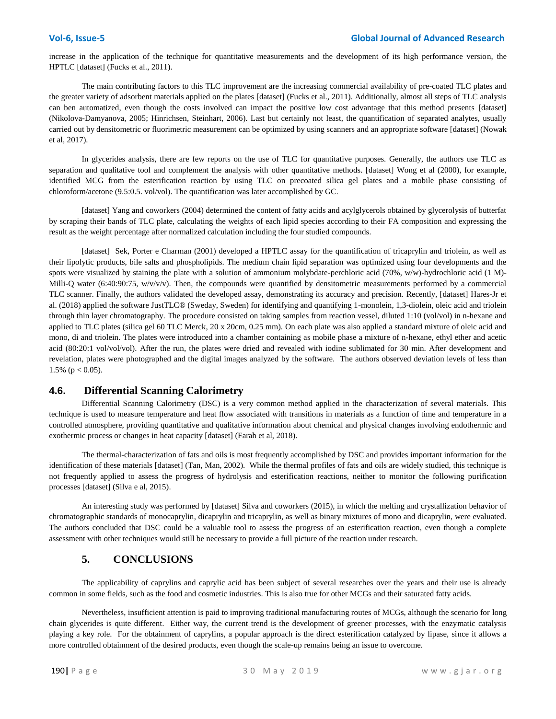increase in the application of the technique for quantitative measurements and the development of its high performance version, the HPTLC [dataset] (Fucks et al., 2011).

The main contributing factors to this TLC improvement are the increasing commercial availability of pre-coated TLC plates and the greater variety of adsorbent materials applied on the plates [dataset] (Fucks et al., 2011). Additionally, almost all steps of TLC analysis can ben automatized, even though the costs involved can impact the positive low cost advantage that this method presents [dataset] (Nikolova-Damyanova, 2005; Hinrichsen, Steinhart, 2006). Last but certainly not least, the quantification of separated analytes, usually carried out by densitometric or fluorimetric measurement can be optimized by using scanners and an appropriate software [dataset] (Nowak et al, 2017).

In glycerides analysis, there are few reports on the use of TLC for quantitative purposes. Generally, the authors use TLC as separation and qualitative tool and complement the analysis with other quantitative methods. [dataset] Wong et al (2000), for example, identified MCG from the esterification reaction by using TLC on precoated silica gel plates and a mobile phase consisting of chloroform/acetone (9.5:0.5. vol/vol). The quantification was later accomplished by GC.

[dataset] Yang and coworkers (2004) determined the content of fatty acids and acylglycerols obtained by glycerolysis of butterfat by scraping their bands of TLC plate, calculating the weights of each lipid species according to their FA composition and expressing the result as the weight percentage after normalized calculation including the four studied compounds.

[dataset] Sek, Porter e Charman (2001) developed a HPTLC assay for the quantification of tricaprylin and triolein, as well as their lipolytic products, bile salts and phospholipids. The medium chain lipid separation was optimized using four developments and the spots were visualized by staining the plate with a solution of ammonium molybdate-perchloric acid (70%, w/w)-hydrochloric acid (1 M)-Milli-Q water (6:40:90:75, w/v/v/v). Then, the compounds were quantified by densitometric measurements performed by a commercial TLC scanner. Finally, the authors validated the developed assay, demonstrating its accuracy and precision. Recently, [dataset] Hares-Jr et al. (2018) applied the software JustTLC® (Sweday, Sweden) for identifying and quantifying 1-monolein, 1,3-diolein, oleic acid and triolein through thin layer chromatography. The procedure consisted on taking samples from reaction vessel, diluted 1:10 (vol/vol) in n-hexane and applied to TLC plates (silica gel 60 TLC Merck, 20 x 20cm, 0.25 mm). On each plate was also applied a standard mixture of oleic acid and mono, di and triolein. The plates were introduced into a chamber containing as mobile phase a mixture of n-hexane, ethyl ether and acetic acid (80:20:1 vol/vol/vol). After the run, the plates were dried and revealed with iodine sublimated for 30 min. After development and revelation, plates were photographed and the digital images analyzed by the software. The authors observed deviation levels of less than 1.5% ( $p < 0.05$ ).

#### **4.6. Differential Scanning Calorimetry**

Differential Scanning Calorimetry (DSC) is a very common method applied in the characterization of several materials. This technique is used to measure temperature and heat flow associated with transitions in materials as a function of time and temperature in a controlled atmosphere, providing quantitative and qualitative information about chemical and physical changes involving endothermic and exothermic process or changes in heat capacity [dataset] (Farah et al, 2018).

The thermal-characterization of fats and oils is most frequently accomplished by DSC and provides important information for the identification of these materials [dataset] (Tan, Man, 2002). While the thermal profiles of fats and oils are widely studied, this technique is not frequently applied to assess the progress of hydrolysis and esterification reactions, neither to monitor the following purification processes [dataset] (Silva e al, 2015).

An interesting study was performed by [dataset] Silva and coworkers (2015), in which the melting and crystallization behavior of chromatographic standards of monocaprylin, dicaprylin and tricaprylin, as well as binary mixtures of mono and dicaprylin, were evaluated. The authors concluded that DSC could be a valuable tool to assess the progress of an esterification reaction, even though a complete assessment with other techniques would still be necessary to provide a full picture of the reaction under research.

### **5. CONCLUSIONS**

The applicability of caprylins and caprylic acid has been subject of several researches over the years and their use is already common in some fields, such as the food and cosmetic industries. This is also true for other MCGs and their saturated fatty acids.

Nevertheless, insufficient attention is paid to improving traditional manufacturing routes of MCGs, although the scenario for long chain glycerides is quite different. Either way, the current trend is the development of greener processes, with the enzymatic catalysis playing a key role. For the obtainment of caprylins, a popular approach is the direct esterification catalyzed by lipase, since it allows a more controlled obtainment of the desired products, even though the scale-up remains being an issue to overcome.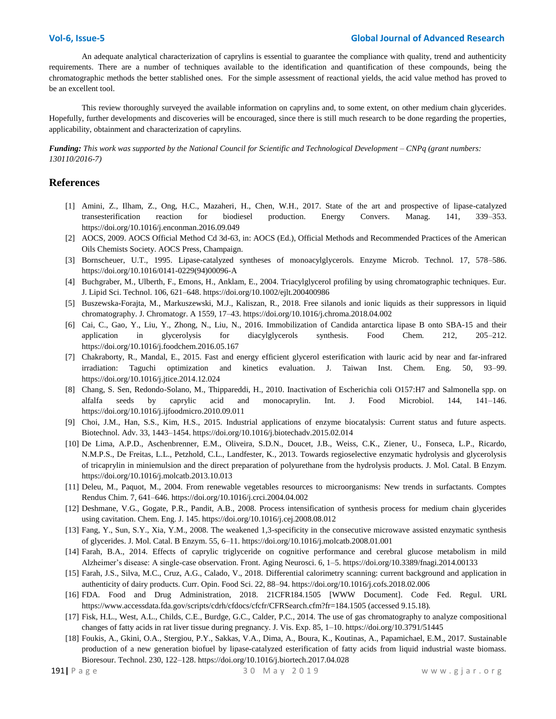An adequate analytical characterization of caprylins is essential to guarantee the compliance with quality, trend and authenticity requirements. There are a number of techniques available to the identification and quantification of these compounds, being the chromatographic methods the better stablished ones. For the simple assessment of reactional yields, the acid value method has proved to be an excellent tool.

This review thoroughly surveyed the available information on caprylins and, to some extent, on other medium chain glycerides. Hopefully, further developments and discoveries will be encouraged, since there is still much research to be done regarding the properties, applicability, obtainment and characterization of caprylins.

*Funding: This work was supported by the [National Council for Scientific and Technological Development](http://cnpq.br/in-english-summary/) – CNPq (grant numbers: 130110/2016-7)*

#### **References**

- [1] Amini, Z., Ilham, Z., Ong, H.C., Mazaheri, H., Chen, W.H., 2017. State of the art and prospective of lipase-catalyzed transesterification reaction for biodiesel production. Energy Convers. Manag. 141, 339–353. https://doi.org/10.1016/j.enconman.2016.09.049
- [2] AOCS, 2009. AOCS Official Method Cd 3d-63, in: AOCS (Ed.), Official Methods and Recommended Practices of the American Oils Chemists Society. AOCS Press, Champaign.
- [3] Bornscheuer, U.T., 1995. Lipase-catalyzed syntheses of monoacylglycerols. Enzyme Microb. Technol. 17, 578–586. https://doi.org/10.1016/0141-0229(94)00096-A
- [4] Buchgraber, M., Ulberth, F., Emons, H., Anklam, E., 2004. Triacylglycerol profiling by using chromatographic techniques. Eur. J. Lipid Sci. Technol. 106, 621–648. https://doi.org/10.1002/ejlt.200400986
- [5] Buszewska-Forajta, M., Markuszewski, M.J., Kaliszan, R., 2018. Free silanols and ionic liquids as their suppressors in liquid chromatography. J. Chromatogr. A 1559, 17–43. https://doi.org/10.1016/j.chroma.2018.04.002
- [6] Cai, C., Gao, Y., Liu, Y., Zhong, N., Liu, N., 2016. Immobilization of Candida antarctica lipase B onto SBA-15 and their application in glycerolysis for diacylglycerols synthesis. Food Chem. 212, 205–212. https://doi.org/10.1016/j.foodchem.2016.05.167
- [7] Chakraborty, R., Mandal, E., 2015. Fast and energy efficient glycerol esterification with lauric acid by near and far-infrared irradiation: Taguchi optimization and kinetics evaluation. J. Taiwan Inst. Chem. Eng. 50, 93–99. https://doi.org/10.1016/j.jtice.2014.12.024
- [8] Chang, S. Sen, Redondo-Solano, M., Thippareddi, H., 2010. Inactivation of Escherichia coli O157:H7 and Salmonella spp. on alfalfa seeds by caprylic acid and monocaprylin. Int. J. Food Microbiol. 144, 141–146. https://doi.org/10.1016/j.ijfoodmicro.2010.09.011
- [9] Choi, J.M., Han, S.S., Kim, H.S., 2015. Industrial applications of enzyme biocatalysis: Current status and future aspects. Biotechnol. Adv. 33, 1443–1454. https://doi.org/10.1016/j.biotechadv.2015.02.014
- [10] De Lima, A.P.D., Aschenbrenner, E.M., Oliveira, S.D.N., Doucet, J.B., Weiss, C.K., Ziener, U., Fonseca, L.P., Ricardo, N.M.P.S., De Freitas, L.L., Petzhold, C.L., Landfester, K., 2013. Towards regioselective enzymatic hydrolysis and glycerolysis of tricaprylin in miniemulsion and the direct preparation of polyurethane from the hydrolysis products. J. Mol. Catal. B Enzym. https://doi.org/10.1016/j.molcatb.2013.10.013
- [11] Deleu, M., Paquot, M., 2004. From renewable vegetables resources to microorganisms: New trends in surfactants. Comptes Rendus Chim. 7, 641–646. https://doi.org/10.1016/j.crci.2004.04.002
- [12] Deshmane, V.G., Gogate, P.R., Pandit, A.B., 2008. Process intensification of synthesis process for medium chain glycerides using cavitation. Chem. Eng. J. 145. https://doi.org/10.1016/j.cej.2008.08.012
- [13] Fang, Y., Sun, S.Y., Xia, Y.M., 2008. The weakened 1,3-specificity in the consecutive microwave assisted enzymatic synthesis of glycerides. J. Mol. Catal. B Enzym. 55, 6–11. https://doi.org/10.1016/j.molcatb.2008.01.001
- [14] Farah, B.A., 2014. Effects of caprylic triglyceride on cognitive performance and cerebral glucose metabolism in mild Alzheimer's disease: A single-case observation. Front. Aging Neurosci. 6, 1–5. https://doi.org/10.3389/fnagi.2014.00133
- [15] Farah, J.S., Silva, M.C., Cruz, A.G., Calado, V., 2018. Differential calorimetry scanning: current background and application in authenticity of dairy products. Curr. Opin. Food Sci. 22, 88–94. https://doi.org/10.1016/j.cofs.2018.02.006
- [16] FDA. Food and Drug Administration, 2018. 21CFR184.1505 [WWW Document]. Code Fed. Regul. URL https://www.accessdata.fda.gov/scripts/cdrh/cfdocs/cfcfr/CFRSearch.cfm?fr=184.1505 (accessed 9.15.18).
- [17] Fisk, H.L., West, A.L., Childs, C.E., Burdge, G.C., Calder, P.C., 2014. The use of gas chromatography to analyze compositional changes of fatty acids in rat liver tissue during pregnancy. J. Vis. Exp. 85, 1–10. https://doi.org/10.3791/51445
- [18] Foukis, A., Gkini, O.A., Stergiou, P.Y., Sakkas, V.A., Dima, A., Boura, K., Koutinas, A., Papamichael, E.M., 2017. Sustainable production of a new generation biofuel by lipase-catalyzed esterification of fatty acids from liquid industrial waste biomass. Bioresour. Technol. 230, 122–128. https://doi.org/10.1016/j.biortech.2017.04.028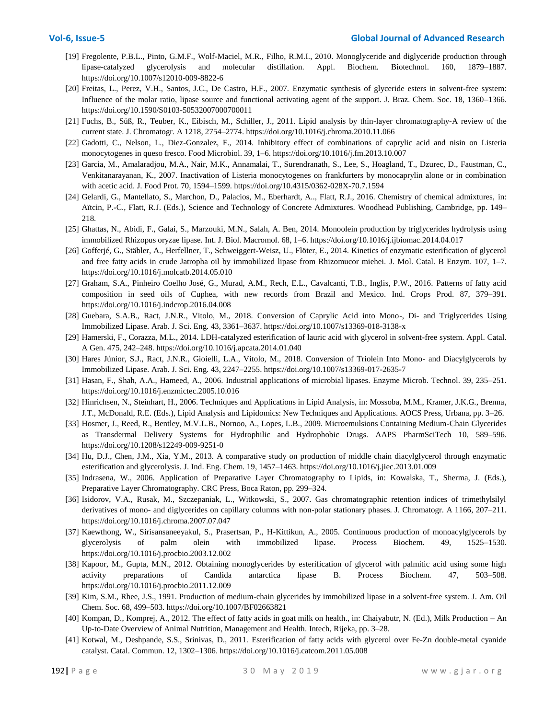- [19] Fregolente, P.B.L., Pinto, G.M.F., Wolf-Maciel, M.R., Filho, R.M.I., 2010. Monoglyceride and diglyceride production through lipase-catalyzed glycerolysis and molecular distillation. Appl. Biochem. Biotechnol. 160, 1879–1887. https://doi.org/10.1007/s12010-009-8822-6
- [20] Freitas, L., Perez, V.H., Santos, J.C., De Castro, H.F., 2007. Enzymatic synthesis of glyceride esters in solvent-free system: Influence of the molar ratio, lipase source and functional activating agent of the support. J. Braz. Chem. Soc. 18, 1360–1366. https://doi.org/10.1590/S0103-50532007000700011
- [21] Fuchs, B., Süß, R., Teuber, K., Eibisch, M., Schiller, J., 2011. Lipid analysis by thin-layer chromatography-A review of the current state. J. Chromatogr. A 1218, 2754–2774. https://doi.org/10.1016/j.chroma.2010.11.066
- [22] Gadotti, C., Nelson, L., Diez-Gonzalez, F., 2014. Inhibitory effect of combinations of caprylic acid and nisin on Listeria monocytogenes in queso fresco. Food Microbiol. 39, 1–6. https://doi.org/10.1016/j.fm.2013.10.007
- [23] Garcia, M., Amalaradjou, M.A., Nair, M.K., Annamalai, T., Surendranath, S., Lee, S., Hoagland, T., Dzurec, D., Faustman, C., Venkitanarayanan, K., 2007. Inactivation of Listeria monocytogenes on frankfurters by monocaprylin alone or in combination with acetic acid. J. Food Prot. 70, 1594–1599. https://doi.org/10.4315/0362-028X-70.7.1594
- [24] Gelardi, G., Mantellato, S., Marchon, D., Palacios, M., Eberhardt, A.., Flatt, R.J., 2016. Chemistry of chemical admixtures, in: Aïtcin, P.-C., Flatt, R.J. (Eds.), Science and Technology of Concrete Admixtures. Woodhead Publishing, Cambridge, pp. 149– 218.
- [25] Ghattas, N., Abidi, F., Galai, S., Marzouki, M.N., Salah, A. Ben, 2014. Monoolein production by triglycerides hydrolysis using immobilized Rhizopus oryzae lipase. Int. J. Biol. Macromol. 68, 1–6. https://doi.org/10.1016/j.ijbiomac.2014.04.017
- [26] Gofferjé, G., Stäbler, A., Herfellner, T., Schweiggert-Weisz, U., Flöter, E., 2014. Kinetics of enzymatic esterification of glycerol and free fatty acids in crude Jatropha oil by immobilized lipase from Rhizomucor miehei. J. Mol. Catal. B Enzym. 107, 1–7. https://doi.org/10.1016/j.molcatb.2014.05.010
- [27] Graham, S.A., Pinheiro Coelho José, G., Murad, A.M., Rech, E.L., Cavalcanti, T.B., Inglis, P.W., 2016. Patterns of fatty acid composition in seed oils of Cuphea, with new records from Brazil and Mexico. Ind. Crops Prod. 87, 379–391. https://doi.org/10.1016/j.indcrop.2016.04.008
- [28] Guebara, S.A.B., Ract, J.N.R., Vitolo, M., 2018. Conversion of Caprylic Acid into Mono-, Di- and Triglycerides Using Immobilized Lipase. Arab. J. Sci. Eng. 43, 3361–3637. https://doi.org/10.1007/s13369-018-3138-x
- [29] Hamerski, F., Corazza, M.L., 2014. LDH-catalyzed esterification of lauric acid with glycerol in solvent-free system. Appl. Catal. A Gen. 475, 242–248. https://doi.org/10.1016/j.apcata.2014.01.040
- [30] Hares Júnior, S.J., Ract, J.N.R., Gioielli, L.A., Vitolo, M., 2018. Conversion of Triolein Into Mono- and Diacylglycerols by Immobilized Lipase. Arab. J. Sci. Eng. 43, 2247–2255. https://doi.org/10.1007/s13369-017-2635-7
- [31] Hasan, F., Shah, A.A., Hameed, A., 2006. Industrial applications of microbial lipases. Enzyme Microb. Technol. 39, 235–251. https://doi.org/10.1016/j.enzmictec.2005.10.016
- [32] Hinrichsen, N., Steinhart, H., 2006. Techniques and Applications in Lipid Analysis, in: Mossoba, M.M., Kramer, J.K.G., Brenna, J.T., McDonald, R.E. (Eds.), Lipid Analysis and Lipidomics: New Techniques and Applications. AOCS Press, Urbana, pp. 3–26.
- [33] Hosmer, J., Reed, R., Bentley, M.V.L.B., Nornoo, A., Lopes, L.B., 2009. Microemulsions Containing Medium-Chain Glycerides as Transdermal Delivery Systems for Hydrophilic and Hydrophobic Drugs. AAPS PharmSciTech 10, 589–596. https://doi.org/10.1208/s12249-009-9251-0
- [34] Hu, D.J., Chen, J.M., Xia, Y.M., 2013. A comparative study on production of middle chain diacylglycerol through enzymatic esterification and glycerolysis. J. Ind. Eng. Chem. 19, 1457–1463. https://doi.org/10.1016/j.jiec.2013.01.009
- [35] Indrasena, W., 2006. Application of Preparative Layer Chromatography to Lipids, in: Kowalska, T., Sherma, J. (Eds.), Preparative Layer Chromatography. CRC Press, Boca Raton, pp. 299–324.
- [36] Isidorov, V.A., Rusak, M., Szczepaniak, L., Witkowski, S., 2007. Gas chromatographic retention indices of trimethylsilyl derivatives of mono- and diglycerides on capillary columns with non-polar stationary phases. J. Chromatogr. A 1166, 207–211. https://doi.org/10.1016/j.chroma.2007.07.047
- [37] Kaewthong, W., Sirisansaneeyakul, S., Prasertsan, P., H-Kittikun, A., 2005. Continuous production of monoacylglycerols by glycerolysis of palm olein with immobilized lipase. Process Biochem. 49, 1525–1530. https://doi.org/10.1016/j.procbio.2003.12.002
- [38] Kapoor, M., Gupta, M.N., 2012. Obtaining monoglycerides by esterification of glycerol with palmitic acid using some high activity preparations of Candida antarctica lipase B. Process Biochem. 47, 503–508. https://doi.org/10.1016/j.procbio.2011.12.009
- [39] Kim, S.M., Rhee, J.S., 1991. Production of medium-chain glycerides by immobilized lipase in a solvent-free system. J. Am. Oil Chem. Soc. 68, 499–503. https://doi.org/10.1007/BF02663821
- [40] Kompan, D., Komprej, A., 2012. The effect of fatty acids in goat milk on health., in: Chaiyabutr, N. (Ed.), Milk Production An Up-to-Date Overview of Animal Nutrition, Management and Health. Intech, Rijeka, pp. 3–28.
- [41] Kotwal, M., Deshpande, S.S., Srinivas, D., 2011. Esterification of fatty acids with glycerol over Fe-Zn double-metal cyanide catalyst. Catal. Commun. 12, 1302–1306. https://doi.org/10.1016/j.catcom.2011.05.008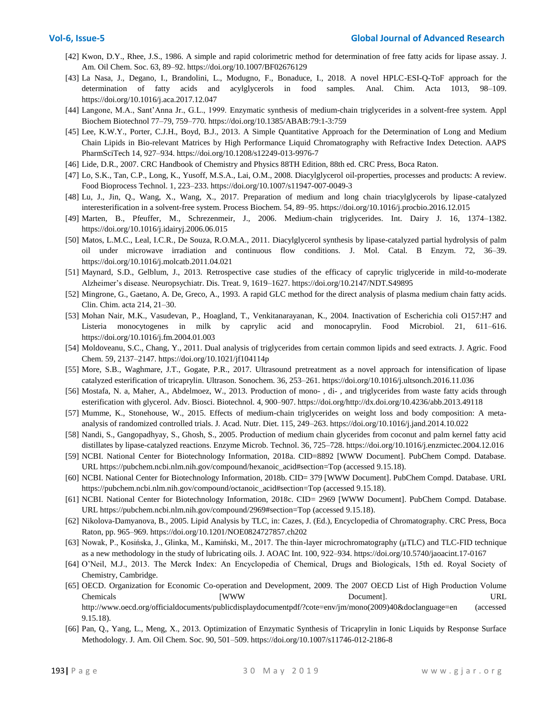- [42] Kwon, D.Y., Rhee, J.S., 1986. A simple and rapid colorimetric method for determination of free fatty acids for lipase assay. J. Am. Oil Chem. Soc. 63, 89–92. https://doi.org/10.1007/BF02676129
- [43] La Nasa, J., Degano, I., Brandolini, L., Modugno, F., Bonaduce, I., 2018. A novel HPLC-ESI-Q-ToF approach for the determination of fatty acids and acylglycerols in food samples. Anal. Chim. Acta 1013, 98–109. https://doi.org/10.1016/j.aca.2017.12.047
- [44] Langone, M.A., Sant'Anna Jr., G.L., 1999. Enzymatic synthesis of medium-chain triglycerides in a solvent-free system. Appl Biochem Biotechnol 77–79, 759–770. https://doi.org/10.1385/ABAB:79:1-3:759
- [45] Lee, K.W.Y., Porter, C.J.H., Boyd, B.J., 2013. A Simple Quantitative Approach for the Determination of Long and Medium Chain Lipids in Bio-relevant Matrices by High Performance Liquid Chromatography with Refractive Index Detection. AAPS PharmSciTech 14, 927–934. https://doi.org/10.1208/s12249-013-9976-7
- [46] Lide, D.R., 2007. CRC Handbook of Chemistry and Physics 88TH Edition, 88th ed. CRC Press, Boca Raton.
- [47] Lo, S.K., Tan, C.P., Long, K., Yusoff, M.S.A., Lai, O.M., 2008. Diacylglycerol oil-properties, processes and products: A review. Food Bioprocess Technol. 1, 223–233. https://doi.org/10.1007/s11947-007-0049-3
- [48] Lu, J., Jin, Q., Wang, X., Wang, X., 2017. Preparation of medium and long chain triacylglycerols by lipase-catalyzed interesterification in a solvent-free system. Process Biochem. 54, 89–95. https://doi.org/10.1016/j.procbio.2016.12.015
- [49] Marten, B., Pfeuffer, M., Schrezenmeir, J., 2006. Medium-chain triglycerides. Int. Dairy J. 16, 1374–1382. https://doi.org/10.1016/j.idairyj.2006.06.015
- [50] Matos, L.M.C., Leal, I.C.R., De Souza, R.O.M.A., 2011. Diacylglycerol synthesis by lipase-catalyzed partial hydrolysis of palm oil under microwave irradiation and continuous flow conditions. J. Mol. Catal. B Enzym. 72, 36–39. https://doi.org/10.1016/j.molcatb.2011.04.021
- [51] Maynard, S.D., Gelblum, J., 2013. Retrospective case studies of the efficacy of caprylic triglyceride in mild-to-moderate Alzheimer's disease. Neuropsychiatr. Dis. Treat. 9, 1619–1627. https://doi.org/10.2147/NDT.S49895
- [52] Mingrone, G., Gaetano, A. De, Greco, A., 1993. A rapid GLC method for the direct analysis of plasma medium chain fatty acids. Clin. Chim. acta 214, 21–30.
- [53] Mohan Nair, M.K., Vasudevan, P., Hoagland, T., Venkitanarayanan, K., 2004. Inactivation of Escherichia coli O157:H7 and Listeria monocytogenes in milk by caprylic acid and monocaprylin. Food Microbiol. 21, 611–616. https://doi.org/10.1016/j.fm.2004.01.003
- [54] Moldoveanu, S.C., Chang, Y., 2011. Dual analysis of triglycerides from certain common lipids and seed extracts. J. Agric. Food Chem. 59, 2137–2147. https://doi.org/10.1021/jf104114p
- [55] More, S.B., Waghmare, J.T., Gogate, P.R., 2017. Ultrasound pretreatment as a novel approach for intensification of lipase catalyzed esterification of tricaprylin. Ultrason. Sonochem. 36, 253–261. https://doi.org/10.1016/j.ultsonch.2016.11.036
- [56] Mostafa, N. a, Maher, A., Abdelmoez, W., 2013. Production of mono- , di- , and triglycerides from waste fatty acids through esterification with glycerol. Adv. Biosci. Biotechnol. 4, 900–907. https://doi.org/http://dx.doi.org/10.4236/abb.2013.49118
- [57] Mumme, K., Stonehouse, W., 2015. Effects of medium-chain triglycerides on weight loss and body composition: A metaanalysis of randomized controlled trials. J. Acad. Nutr. Diet. 115, 249–263. https://doi.org/10.1016/j.jand.2014.10.022
- [58] Nandi, S., Gangopadhyay, S., Ghosh, S., 2005. Production of medium chain glycerides from coconut and palm kernel fatty acid distillates by lipase-catalyzed reactions. Enzyme Microb. Technol. 36, 725–728. https://doi.org/10.1016/j.enzmictec.2004.12.016
- [59] NCBI. National Center for Biotechnology Information, 2018a. CID=8892 [WWW Document]. PubChem Compd. Database. URL https://pubchem.ncbi.nlm.nih.gov/compound/hexanoic\_acid#section=Top (accessed 9.15.18).
- [60] NCBI. National Center for Biotechnology Information, 2018b. CID= 379 [WWW Document]. PubChem Compd. Database. URL https://pubchem.ncbi.nlm.nih.gov/compound/octanoic\_acid#section=Top (accessed 9.15.18).
- [61] NCBI. National Center for Biotechnology Information, 2018c. CID= 2969 [WWW Document]. PubChem Compd. Database. URL https://pubchem.ncbi.nlm.nih.gov/compound/2969#section=Top (accessed 9.15.18).
- [62] Nikolova-Damyanova, B., 2005. Lipid Analysis by TLC, in: Cazes, J. (Ed.), Encyclopedia of Chromatography. CRC Press, Boca Raton, pp. 965–969. https://doi.org/10.1201/NOE0824727857.ch202
- [63] Nowak, P., Kosińska, J., Glinka, M., Kamiński, M., 2017. The thin-layer microchromatography (μTLC) and TLC-FID technique as a new methodology in the study of lubricating oils. J. AOAC Int. 100, 922–934. https://doi.org/10.5740/jaoacint.17-0167
- [64] O'Neil, M.J., 2013. The Merck Index: An Encyclopedia of Chemical, Drugs and Biologicals, 15th ed. Royal Society of Chemistry, Cambridge.
- [65] OECD. Organization for Economic Co-operation and Development, 2009. The 2007 OECD List of High Production Volume Chemicals **Example 18 ICO CONSUMENT CONSUMER** Document]. URL http://www.oecd.org/officialdocuments/publicdisplaydocumentpdf/?cote=env/jm/mono(2009)40&doclanguage=en (accessed 9.15.18).
- [66] Pan, Q., Yang, L., Meng, X., 2013. Optimization of Enzymatic Synthesis of Tricaprylin in Ionic Liquids by Response Surface Methodology. J. Am. Oil Chem. Soc. 90, 501–509. https://doi.org/10.1007/s11746-012-2186-8